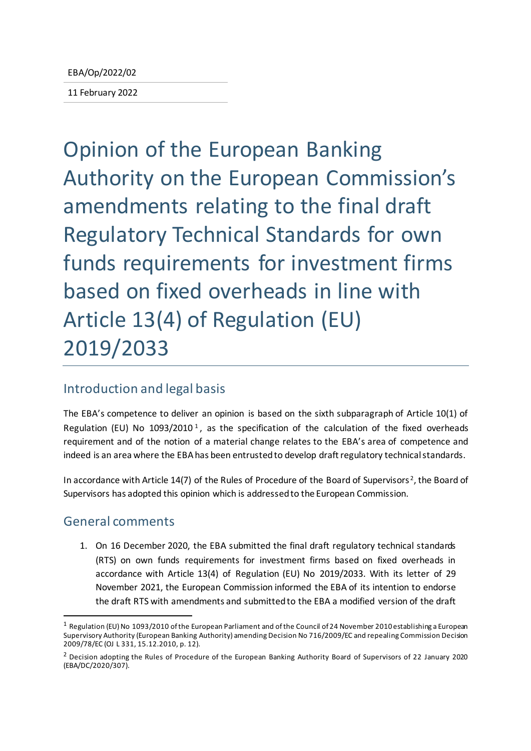11 February 2022

Opinion of the European Banking Authority on the European Commission's amendments relating to the final draft Regulatory Technical Standards for own funds requirements for investment firms based on fixed overheads in line with Article 13(4) of Regulation (EU) 2019/2033

# Introduction and legal basis

The EBA's competence to deliver an opinion is based on the sixth subparagraph of Article 10(1) of Regulation (EU) No [1](#page-0-0)093/2010<sup>1</sup>, as the specification of the calculation of the fixed overheads requirement and of the notion of a material change relates to the EBA's area of competence and indeed is an area where the EBA has been entrusted to develop draft regulatory technical standards.

In accordance with Article 14(7) of the Rules of Procedure of the Board of Supervisors<sup>[2](#page-0-1)</sup>, the Board of Supervisors has adopted this opinion which is addressed to the European Commission.

# General comments

1. On 16 December 2020, the EBA submitted the final draft regulatory technical standards (RTS) on own funds requirements for investment firms based on fixed overheads in accordance with Article 13(4) of Regulation (EU) No 2019/2033. With its letter of 29 November 2021, the European Commission informed the EBA of its intention to endorse the draft RTS with amendments and submitted to the EBA a modified version of the draft

<span id="page-0-0"></span> $1$  Regulation (EU) No 1093/2010 of the European Parliament and of the Council of 24 November 2010 establishing a European Supervisory Authority (European Banking Authority) amending Decision No 716/2009/EC and repealing Commission Decision 2009/78/EC (OJ L 331, 15.12.2010, p. 12).

<span id="page-0-1"></span><sup>&</sup>lt;sup>2</sup> Decision adopting the Rules of Procedure of the European Banking Authority Board of Supervisors of 22 January 2020 (EBA/DC/2020/307).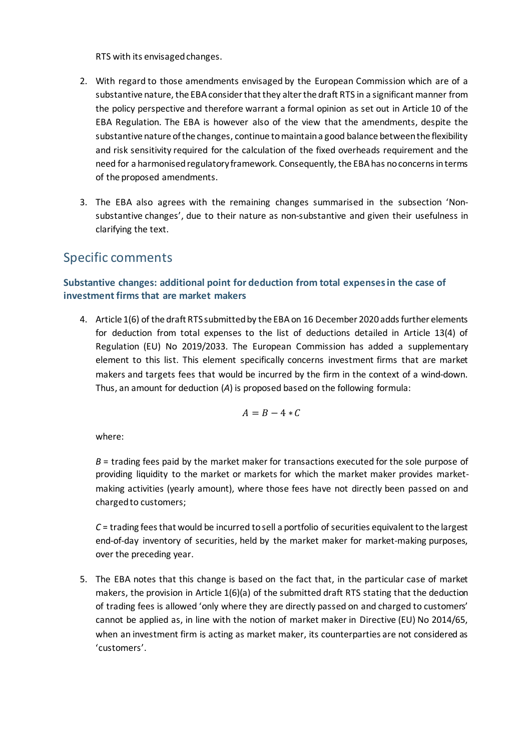RTS with its envisaged changes.

- 2. With regard to those amendments envisaged by the European Commission which are of a substantive nature, the EBA considerthat they alter the draft RTS in a significant manner from the policy perspective and therefore warrant a formal opinion as set out in Article 10 of the EBA Regulation. The EBA is however also of the view that the amendments, despite the substantive nature of the changes, continue tomaintain a good balance between the flexibility and risk sensitivity required for the calculation of the fixed overheads requirement and the need for a harmonised regulatory framework. Consequently, the EBA has no concerns in terms of the proposed amendments.
- 3. The EBA also agrees with the remaining changes summarised in the subsection 'Nonsubstantive changes', due to their nature as non-substantive and given their usefulness in clarifying the text.

# Specific comments

### **Substantive changes: additional point for deduction from total expenses in the case of investment firms that are market makers**

4. Article 1(6) of the draft RTS submitted by the EBA on 16 December 2020 adds further elements for deduction from total expenses to the list of deductions detailed in Article 13(4) of Regulation (EU) No 2019/2033. The European Commission has added a supplementary element to this list. This element specifically concerns investment firms that are market makers and targets fees that would be incurred by the firm in the context of a wind-down. Thus, an amount for deduction (*A*) is proposed based on the following formula:

$$
A=B-4*C
$$

where:

*B* = trading fees paid by the market maker for transactions executed for the sole purpose of providing liquidity to the market or markets for which the market maker provides marketmaking activities (yearly amount), where those fees have not directly been passed on and charged to customers;

*C* = trading fees that would be incurred to sell a portfolio of securities equivalent to the largest end-of-day inventory of securities, held by the market maker for market-making purposes, over the preceding year.

5. The EBA notes that this change is based on the fact that, in the particular case of market makers, the provision in Article 1(6)(a) of the submitted draft RTS stating that the deduction of trading fees is allowed 'only where they are directly passed on and charged to customers' cannot be applied as, in line with the notion of market maker in Directive (EU) No 2014/65, when an investment firm is acting as market maker, its counterparties are not considered as 'customers'.